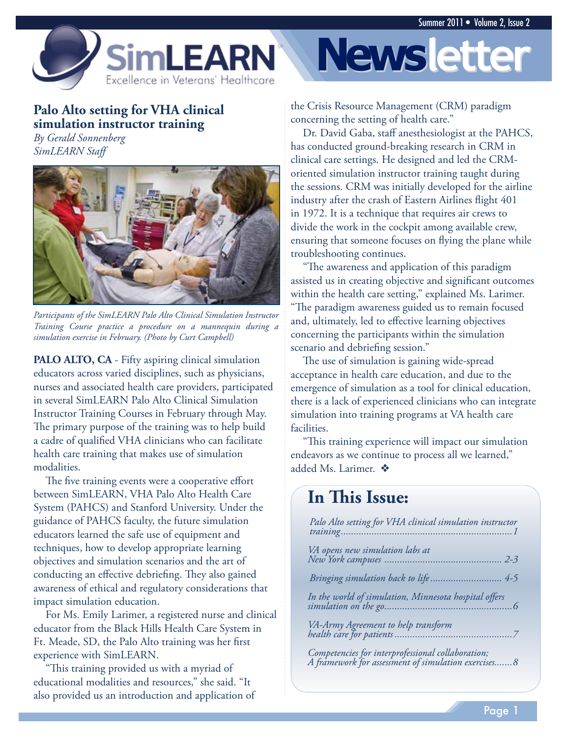

### **Palo Alto setting for VHA clinical simulation instructor training**

*By Gerald Sonnenberg SimLEARN Staff* 



*Participants of the SimLEARN Palo Alto Clinical Simulation Instructor Training Course practice a procedure on a mannequin during a simulation exercise in February. (Photo by Curt Campbell)* 

**PALO ALTO, CA** - Fifty aspiring clinical simulation educators across varied disciplines, such as physicians, nurses and associated health care providers, participated in several SimLEARN Palo Alto Clinical Simulation Instructor Training Courses in February through May. The primary purpose of the training was to help build a cadre of qualified VHA clinicians who can facilitate health care training that makes use of simulation modalities.

The five training events were a cooperative effort between SimLEARN, VHA Palo Alto Health Care System (PAHCS) and Stanford University. Under the guidance of PAHCS faculty, the future simulation educators learned the safe use of equipment and techniques, how to develop appropriate learning objectives and simulation scenarios and the art of conducting an effective debriefing. They also gained awareness of ethical and regulatory considerations that impact simulation education.

For Ms. Emily Larimer, a registered nurse and clinical educator from the Black Hills Health Care System in Ft. Meade, SD, the Palo Alto training was her first experience with SimLEARN.

"This training provided us with a myriad of educational modalities and resources," she said. "It also provided us an introduction and application of



the Crisis Resource Management (CRM) paradigm concerning the setting of health care."

Dr. David Gaba, staff anesthesiologist at the PAHCS, has conducted ground-breaking research in CRM in clinical care settings. He designed and led the CRMoriented simulation instructor training taught during the sessions. CRM was initially developed for the airline industry after the crash of Eastern Airlines flight 401 in 1972. It is a technique that requires air crews to divide the work in the cockpit among available crew, ensuring that someone focuses on flying the plane while troubleshooting continues.

"The awareness and application of this paradigm assisted us in creating objective and significant outcomes within the health care setting," explained Ms. Larimer. "The paradigm awareness guided us to remain focused and, ultimately, led to effective learning objectives concerning the participants within the simulation scenario and debriefing session."

The use of simulation is gaining wide-spread acceptance in health care education, and due to the emergence of simulation as a tool for clinical education, there is a lack of experienced clinicians who can integrate simulation into training programs at VA health care facilities.

"This training experience will impact our simulation endeavors as we continue to process all we learned," added Ms. Larimer.  $\clubsuit$ 

# **In This Issue:**

| Palo Alto setting for VHA clinical simulation instructor                                                 |
|----------------------------------------------------------------------------------------------------------|
|                                                                                                          |
| Bringing simulation back to life 4-5                                                                     |
|                                                                                                          |
|                                                                                                          |
| Competencies for interprofessional collaboration;<br>A framework for assessment of simulation exercises8 |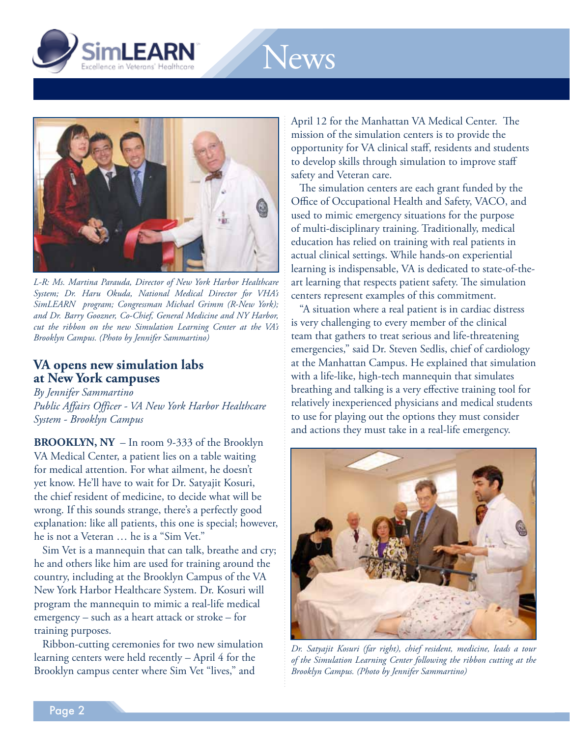

# News



*L-R: Ms. Martina Parauda, Director of New York Harbor Healthcare System; Dr. Haru Okuda, National Medical Director for VHA's SimLEARN program; Congressman Michael Grimm (R-New York); and Dr. Barry Goozner, Co-Chief, General Medicine and NY Harbor, cut the ribbon on the new Simulation Learning Center at the VA's Brooklyn Campus. (Photo by Jennifer Sammartino)* 

#### **VA opens new simulation labs at New York campuses**

*By Jennifer Sammartino Public Affairs Officer - VA New York Harbor Healthcare System - Brooklyn Campus* 

**BROOKLYN, NY** – In room 9-333 of the Brooklyn VA Medical Center, a patient lies on a table waiting for medical attention. For what ailment, he doesn't yet know. He'll have to wait for Dr. Satyajit Kosuri, the chief resident of medicine, to decide what will be wrong. If this sounds strange, there's a perfectly good explanation: like all patients, this one is special; however, he is not a Veteran … he is a "Sim Vet."

Sim Vet is a mannequin that can talk, breathe and cry; he and others like him are used for training around the country, including at the Brooklyn Campus of the VA New York Harbor Healthcare System. Dr. Kosuri will program the mannequin to mimic a real-life medical emergency – such as a heart attack or stroke – for training purposes.

Ribbon-cutting ceremonies for two new simulation learning centers were held recently - April 4 for the Brooklyn campus center where Sim Vet "lives," and

April 12 for the Manhattan VA Medical Center. The mission of the simulation centers is to provide the opportunity for VA clinical staff, residents and students to develop skills through simulation to improve staff safety and Veteran care.

The simulation centers are each grant funded by the Office of Occupational Health and Safety, VACO, and used to mimic emergency situations for the purpose of multi-disciplinary training. Traditionally, medical education has relied on training with real patients in actual clinical settings. While hands-on experiential learning is indispensable, VA is dedicated to state-of-theart learning that respects patient safety. The simulation centers represent examples of this commitment.

"A situation where a real patient is in cardiac distress is very challenging to every member of the clinical team that gathers to treat serious and life-threatening emergencies," said Dr. Steven Sedlis, chief of cardiology at the Manhattan Campus. He explained that simulation with a life-like, high-tech mannequin that simulates breathing and talking is a very effective training tool for relatively inexperienced physicians and medical students to use for playing out the options they must consider and actions they must take in a real-life emergency.



*Dr. Satyajit Kosuri (far right), chief resident, medicine, leads a tour of the Simulation Learning Center following the ribbon cutting at the Brooklyn Campus. (Photo by Jennifer Sammartino)*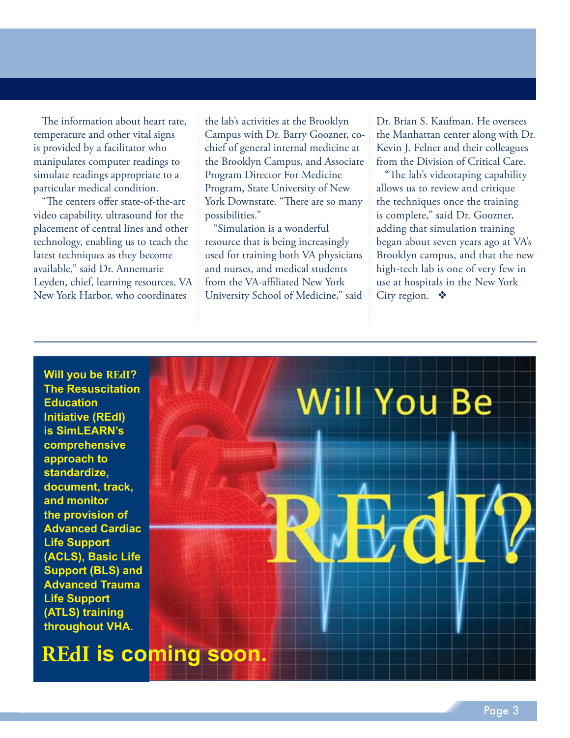The information about heart rate, temperature and other vital signs is provided by a facilitator who manipulates computer readings to simulate readings appropriate to a particular medical condition.

"The centers offer state-of-the-art video capability, ultrasound for the placement of central lines and other technology, enabling us to teach the latest techniques as they become available," said Dr. Annemarie Leyden, chief, learning resources, VA New York Harbor, who coordinates

the lab's activities at the Brooklyn Campus with Dr. Barry Goozner, cochief of general internal medicine at the Brooklyn Campus, and Associate Program Director For Medicine Program, State University of New York Downstate. "There are so many possibilities."

"Simulation is a wonderful resource that is being increasingly used for training both VA physicians and nurses, and medical students from the VA-affiliated New York University School of Medicine," said

Dr. Brian S. Kaufman. He oversees the Manhattan center along with Dr. Kevin J. Felner and their colleagues from the Division of Critical Care.

 allows us to review and critique the techniques once the training is complete," said Dr. Goozner, adding that simulation training began about seven years ago at VA's Brooklyn campus, and that the new high-tech lab is one of very few in use at hospitals in the New York City region.  $\bullet$ "The lab's videotaping capability

**Will you be REdI? The Resuscitation Education Initiative (REdI) is SimLEARN's comprehensive approach to standardize, document, track, and monitor the provision of Advanced Cardiac Life Support (ACLS), Basic Life Support (BLS) and Advanced Trauma Life Support (ATLS) training throughout VHA.** 

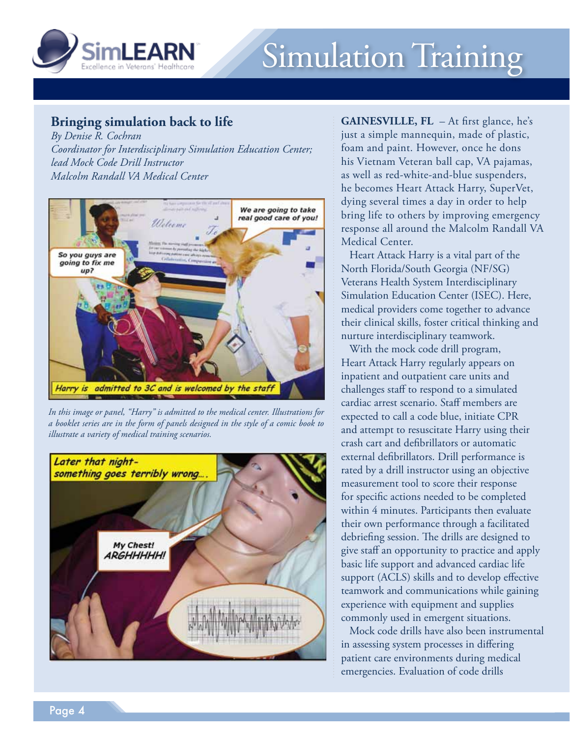

# Simulation Training

### **Bringing simulation back to life**

 *Malcolm Randall VA Medical Center By Denise R. Cochran Coordinator for Interdisciplinary Simulation Education Center; lead Mock Code Drill Instructor* 



*In this image or panel, "Harry" is admitted to the medical center. Illustrations for a booklet series are in the form of panels designed in the style of a comic book to illustrate a variety of medical training scenarios.* 



 **GAINESVILLE, FL** – At first glance, he's just a simple mannequin, made of plastic, foam and paint. However, once he dons his Vietnam Veteran ball cap, VA pajamas, as well as red-white-and-blue suspenders, he becomes Heart Attack Harry, SuperVet, dying several times a day in order to help bring life to others by improving emergency response all around the Malcolm Randall VA Medical Center.

Heart Attack Harry is a vital part of the North Florida/South Georgia (NF/SG) Veterans Health System Interdisciplinary Simulation Education Center (ISEC). Here, medical providers come together to advance their clinical skills, foster critical thinking and nurture interdisciplinary teamwork.

With the mock code drill program, Heart Attack Harry regularly appears on inpatient and outpatient care units and challenges staff to respond to a simulated cardiac arrest scenario. Staff members are expected to call a code blue, initiate CPR and attempt to resuscitate Harry using their crash cart and defibrillators or automatic external defibrillators. Drill performance is rated by a drill instructor using an objective measurement tool to score their response for specific actions needed to be completed within 4 minutes. Participants then evaluate their own performance through a facilitated debriefing session. The drills are designed to give staff an opportunity to practice and apply basic life support and advanced cardiac life support (ACLS) skills and to develop effective teamwork and communications while gaining experience with equipment and supplies commonly used in emergent situations.

Mock code drills have also been instrumental in assessing system processes in differing patient care environments during medical emergencies. Evaluation of code drills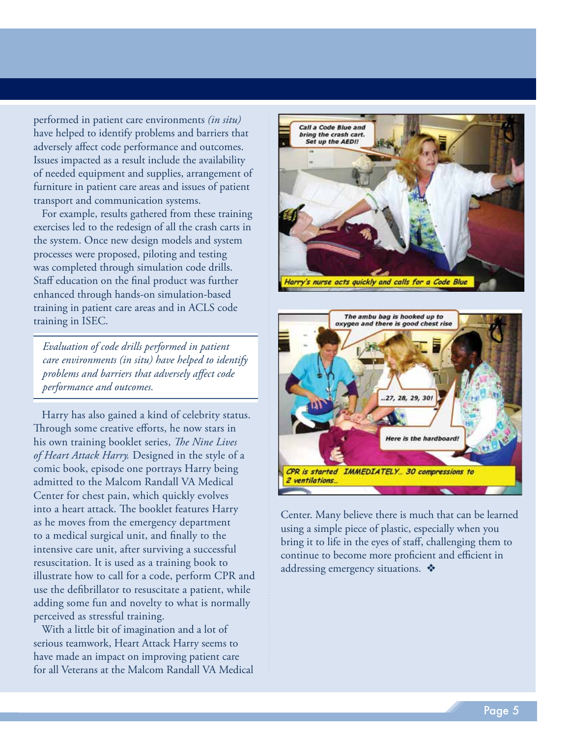performed in patient care environments *(in situ)*  have helped to identify problems and barriers that adversely affect code performance and outcomes. Issues impacted as a result include the availability of needed equipment and supplies, arrangement of furniture in patient care areas and issues of patient transport and communication systems.

For example, results gathered from these training exercises led to the redesign of all the crash carts in the system. Once new design models and system processes were proposed, piloting and testing was completed through simulation code drills. Staff education on the final product was further enhanced through hands-on simulation-based training in patient care areas and in ACLS code training in ISEC.

*Evaluation of code drills performed in patient care environments (in situ) have helped to identify problems and barriers that adversely affect code performance and outcomes.* 

 Through some creative efforts, he now stars in his own training booklet series, *The Nine Lives of Heart Attack Harry.* Designed in the style of a comic book, episode one portrays Harry being admitted to the Malcom Randall VA Medical Center for chest pain, which quickly evolves into a heart attack. The booklet features Harry as he moves from the emergency department to a medical surgical unit, and finally to the intensive care unit, after surviving a successful resuscitation. It is used as a training book to illustrate how to call for a code, perform CPR and use the defibrillator to resuscitate a patient, while adding some fun and novelty to what is normally perceived as stressful training. Harry has also gained a kind of celebrity status.

With a little bit of imagination and a lot of serious teamwork, Heart Attack Harry seems to have made an impact on improving patient care for all Veterans at the Malcom Randall VA Medical





Center. Many believe there is much that can be learned using a simple piece of plastic, especially when you bring it to life in the eyes of staff, challenging them to continue to become more proficient and efficient in addressing emergency situations.  $\bullet$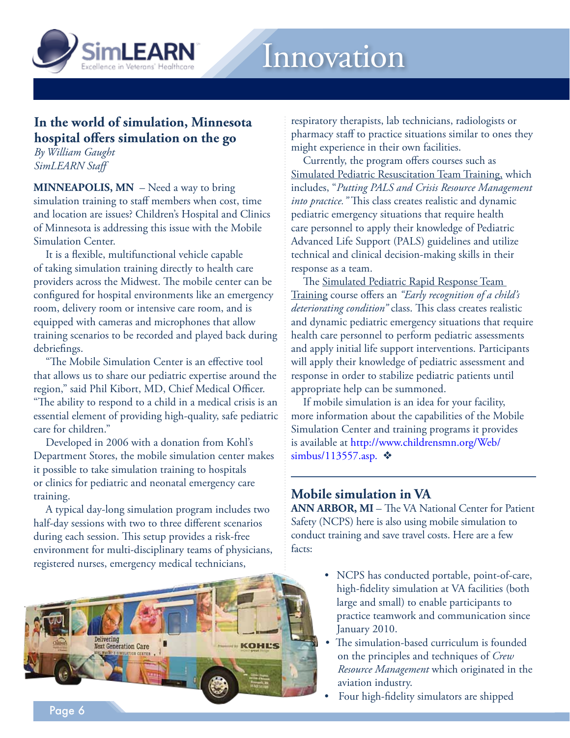

## **In the world of simulation, Minnesota hospital offers simulation on the go**

*By William Gaught SimLEARN Staff* 

**MINNEAPOLIS, MN** – Need a way to bring simulation training to staff members when cost, time and location are issues? Children's Hospital and Clinics of Minnesota is addressing this issue with the Mobile Simulation Center.

It is a flexible, multifunctional vehicle capable of taking simulation training directly to health care providers across the Midwest. The mobile center can be configured for hospital environments like an emergency room, delivery room or intensive care room, and is equipped with cameras and microphones that allow training scenarios to be recorded and played back during debriefings.

"The Mobile Simulation Center is an effective tool that allows us to share our pediatric expertise around the region," said Phil Kibort, MD, Chief Medical Officer. "The ability to respond to a child in a medical crisis is an essential element of providing high-quality, safe pediatric care for children."

Developed in 2006 with a donation from Kohl's Department Stores, the mobile simulation center makes it possible to take simulation training to hospitals or clinics for pediatric and neonatal emergency care training.

A typical day-long simulation program includes two half-day sessions with two to three different scenarios during each session. This setup provides a risk-free environment for multi-disciplinary teams of physicians, registered nurses, emergency medical technicians,



respiratory therapists, lab technicians, radiologists or pharmacy staff to practice situations similar to ones they might experience in their own facilities.

Currently, the program offers courses such as Simulated Pediatric Resuscitation Team Training, which includes, "*Putting PALS and Crisis Resource Management into practice."* This class creates realistic and dynamic pediatric emergency situations that require health care personnel to apply their knowledge of Pediatric Advanced Life Support (PALS) guidelines and utilize technical and clinical decision-making skills in their response as a team.

The Simulated Pediatric Rapid Response Team Training course offers an *"Early recognition of a child's deteriorating condition"* class. This class creates realistic and dynamic pediatric emergency situations that require health care personnel to perform pediatric assessments and apply initial life support interventions. Participants will apply their knowledge of pediatric assessment and response in order to stabilize pediatric patients until appropriate help can be summoned.

If mobile simulation is an idea for your facility, more information about the capabilities of the Mobile Simulation Center and training programs it provides is available at [http://www.childrensmn.org/Web/](http://www.childrensmn.org/Web/simbus/113557.asp.) [simbus/113557.asp.](http://www.childrensmn.org/Web/simbus/113557.asp.)  $\diamondsuit$ 

#### **Mobile simulation in VA**

 **ANN ARBOR, MI** – The VA National Center for Patient Safety (NCPS) here is also using mobile simulation to conduct training and save travel costs. Here are a few facts:

- • NCPS has conducted portable, point-of-care, high-fidelity simulation at VA facilities (both large and small) to enable participants to practice teamwork and communication since January 2010.
- • The simulation-based curriculum is founded on the principles and techniques of *Crew Resource Management* which originated in the aviation industry.
- • Four high-fidelity simulators are shipped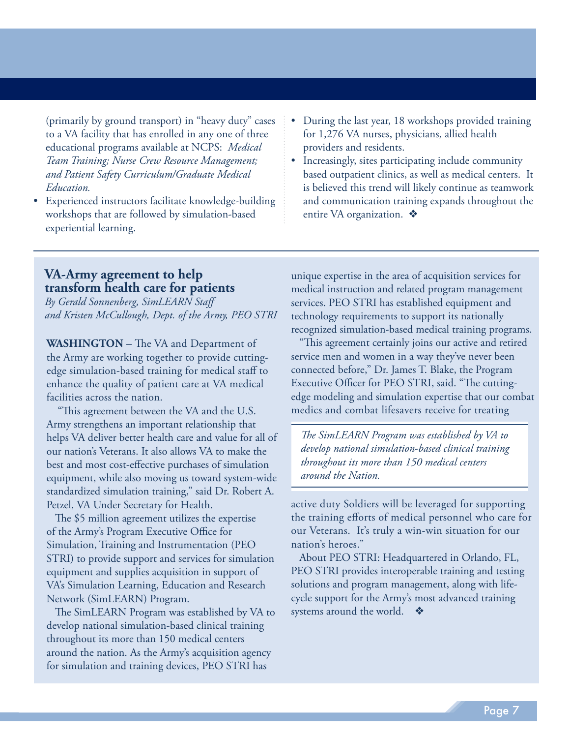(primarily by ground transport) in "heavy duty" cases to a VA facility that has enrolled in any one of three educational programs available at NCPS: *Medical Team Training; Nurse Crew Resource Management; and Patient Safety Curriculum/Graduate Medical Education.* 

- Experienced instructors facilitate knowledge-building workshops that are followed by simulation-based experiential learning.
- During the last year, 18 workshops provided training for 1,276 VA nurses, physicians, allied health providers and residents.
- Increasingly, sites participating include community based outpatient clinics, as well as medical centers. It is believed this trend will likely continue as teamwork and communication training expands throughout the entire VA organization.  $\triangleleft$

#### **VA-Army agreement to help transform health care for patients**

*By Gerald Sonnenberg, SimLEARN Staff and Kristen McCullough, Dept. of the Army, PEO STRI* 

**WASHINGTON** – The VA and Department of the Army are working together to provide cuttingedge simulation-based training for medical staff to enhance the quality of patient care at VA medical facilities across the nation.

 "This agreement between the VA and the U.S. Army strengthens an important relationship that helps VA deliver better health care and value for all of our nation's Veterans. It also allows VA to make the best and most cost-effective purchases of simulation equipment, while also moving us toward system-wide standardized simulation training," said Dr. Robert A. Petzel, VA Under Secretary for Health.

The \$5 million agreement utilizes the expertise of the Army's Program Executive Office for Simulation, Training and Instrumentation (PEO STRI) to provide support and services for simulation equipment and supplies acquisition in support of VA's Simulation Learning, Education and Research Network (SimLEARN) Program.

The SimLEARN Program was established by VA to develop national simulation-based clinical training throughout its more than 150 medical centers around the nation. As the Army's acquisition agency for simulation and training devices, PEO STRI has

unique expertise in the area of acquisition services for medical instruction and related program management services. PEO STRI has established equipment and technology requirements to support its nationally recognized simulation-based medical training programs.

 medics and combat lifesavers receive for treating "This agreement certainly joins our active and retired service men and women in a way they've never been connected before," Dr. James T. Blake, the Program Executive Officer for PEO STRI, said. "The cuttingedge modeling and simulation expertise that our combat

*The SimLEARN Program was established by VA to develop national simulation-based clinical training throughout its more than 150 medical centers around the Nation.* 

 active duty Soldiers will be leveraged for supporting the training efforts of medical personnel who care for our Veterans. It's truly a win-win situation for our nation's heroes."

About PEO STRI: Headquartered in Orlando, FL, PEO STRI provides interoperable training and testing solutions and program management, along with lifecycle support for the Army's most advanced training systems around the world.  $\bullet$